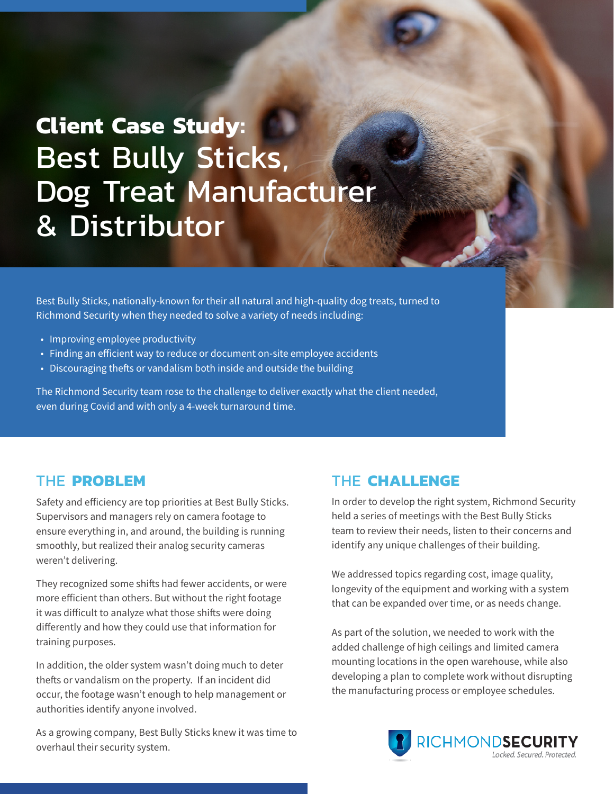# **Client Case Study:** Best Bully Sticks, Dog Treat Manufacturer & Distributor

Best Bully Sticks, nationally-known for their all natural and high-quality dog treats, turned to Richmond Security when they needed to solve a variety of needs including:

- Improving employee productivity
- Finding an efficient way to reduce or document on-site employee accidents
- Discouraging thefts or vandalism both inside and outside the building

The Richmond Security team rose to the challenge to deliver exactly what the client needed, even during Covid and with only a 4-week turnaround time.

#### THE **PROBLEM**

Safety and efficiency are top priorities at Best Bully Sticks. Supervisors and managers rely on camera footage to ensure everything in, and around, the building is running smoothly, but realized their analog security cameras weren't delivering.

They recognized some shifts had fewer accidents, or were more efficient than others. But without the right footage it was difficult to analyze what those shifts were doing differently and how they could use that information for training purposes.

In addition, the older system wasn't doing much to deter thefts or vandalism on the property. If an incident did occur, the footage wasn't enough to help management or authorities identify anyone involved.

As a growing company, Best Bully Sticks knew it was time to overhaul their security system.

#### THE **CHALLENGE**

In order to develop the right system, Richmond Security held a series of meetings with the Best Bully Sticks team to review their needs, listen to their concerns and identify any unique challenges of their building.

We addressed topics regarding cost, image quality, longevity of the equipment and working with a system that can be expanded over time, or as needs change.

As part of the solution, we needed to work with the added challenge of high ceilings and limited camera mounting locations in the open warehouse, while also developing a plan to complete work without disrupting the manufacturing process or employee schedules.